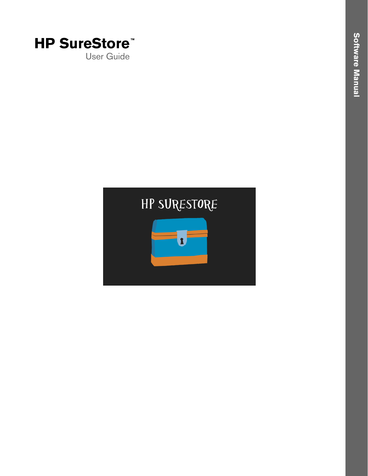

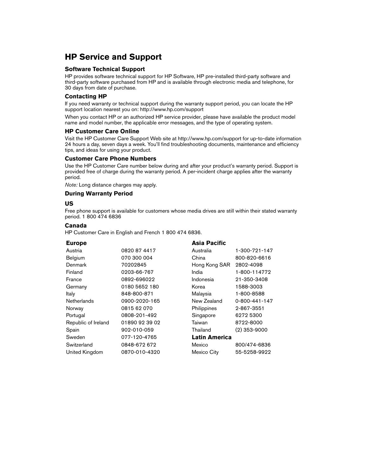## **HP Service and Support**

#### **Software Technical Support**

HP provides software technical support for HP Software, HP pre-installed third-party software and third-party software purchased from HP and is available through electronic media and telephone, for 30 days from date of purchase.

#### **Contacting HP**

If you need warranty or technical support during the warranty support period, you can locate the HP support location nearest you on: http://www.hp.com/support

When you contact HP or an authorized HP service provider, please have available the product model name and model number, the applicable error messages, and the type of operating system.

#### **HP Customer Care Online**

Visit the HP Customer Care Support Web site at http://www.hp.com/support for up-to-date information 24 hours a day, seven days a week. You'll find troubleshooting documents, maintenance and efficiency tips, and ideas for using your product.

#### **Customer Care Phone Numbers**

Use the HP Customer Care number below during and after your product's warranty period. Support is provided free of charge during the warranty period. A per-incident charge applies after the warranty period.

*Note:* Long distance charges may apply.

#### **During Warranty Period**

#### **US**

Free phone support is available for customers whose media drives are still within their stated warranty period. 1 800 474 6836

#### **Canada**

HP Customer Care in English and French 1 800 474 6836.

| <b>Europe</b>       |                | Asia Pacific         |                |
|---------------------|----------------|----------------------|----------------|
| Austria             | 0820 87 4417   | Australia            | 1-300-721-147  |
| Belgium             | 070 300 004    | China                | 800-820-6616   |
| Denmark             | 70202845       | Hong Kong SAR        | 2802-4098      |
| Finland             | 0203-66-767    | India                | 1-800-114772   |
| France              | 0892-696022    | Indonesia            | 21-350-3408    |
| Germany             | 0180 5652 180  | Korea                | 1588-3003      |
| Italy               | 848-800-871    | Malaysia             | 1-800-8588     |
| Netherlands         | 0900-2020-165  | New Zealand          | 0-800-441-147  |
| Norway              | 0815 62 070    | Philippines          | 2-867-3551     |
| Portugal            | 0808-201-492   | Singapore            | 6272 5300      |
| Republic of Ireland | 01890 92 39 02 | Taiwan               | 8722-8000      |
| Spain               | 902-010-059    | Thailand             | $(2)$ 353-9000 |
| Sweden              | 077-120-4765   | <b>Latin America</b> |                |
| Switzerland         | 0848-672 672   | Mexico               | 800/474-6836   |
| United Kingdom      | 0870-010-4320  | Mexico City          | 55-5258-9922   |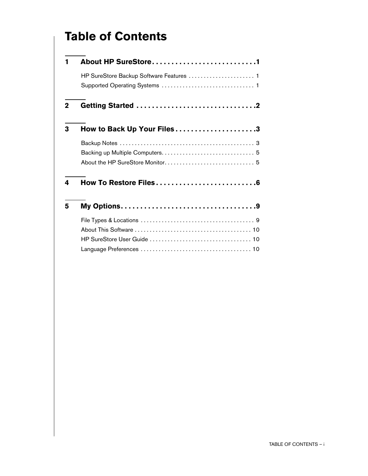# **Table of Contents**

| 1           | About HP SureStore1                      |  |  |
|-------------|------------------------------------------|--|--|
|             | HP SureStore Backup Software Features  1 |  |  |
| $\mathbf 2$ |                                          |  |  |
| 3           | How to Back Up Your Files3               |  |  |
|             |                                          |  |  |
|             |                                          |  |  |
|             |                                          |  |  |
| 4           |                                          |  |  |
| 5           |                                          |  |  |
|             |                                          |  |  |
|             |                                          |  |  |
|             |                                          |  |  |
|             |                                          |  |  |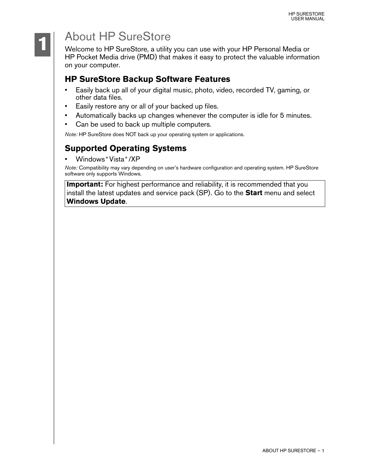# About HP SureStore

Welcome to HP SureStore, a utility you can use with your HP Personal Media or HP Pocket Media drive (PMD) that makes it easy to protect the valuable information on your computer.

## **HP SureStore Backup Software Features**

- Easily back up all of your digital music, photo, video, recorded TV, gaming, or other data files.
- Easily restore any or all of your backed up files.
- Automatically backs up changes whenever the computer is idle for 5 minutes.
- Can be used to back up multiple computers.

*Note:* HP SureStore does NOT back up your operating system or applications.

## **Supported Operating Systems**

• Windows **®** Vista **®** /XP

*Note:* Compatibility may vary depending on user's hardware configuration and operating system. HP SureStore software only supports Windows.

**Important:** For highest performance and reliability, it is recommended that you install the latest updates and service pack (SP). Go to the **Start** menu and select **Windows Update**.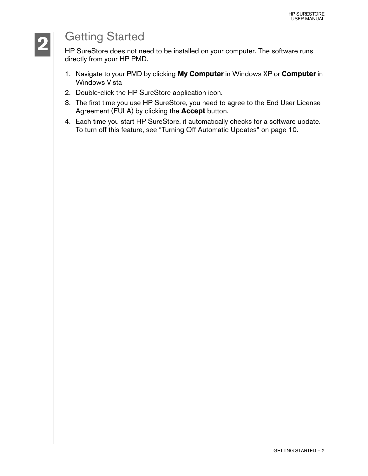# Getting Started

HP SureStore does not need to be installed on your computer. The software runs directly from your HP PMD.

- 1. Navigate to your PMD by clicking **My Computer** in Windows XP or **Computer** in Windows Vista
- 2. Double-click the HP SureStore application icon.
- 3. The first time you use HP SureStore, you need to agree to the End User License Agreement (EULA) by clicking the **Accept** button.
- 4. Each time you start HP SureStore, it automatically checks for a software update. To turn off this feature, see ["Turning Off Automatic Updates" on page 10.](#page-12-0)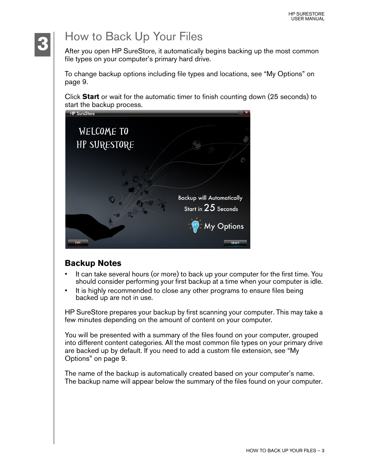

# <span id="page-5-0"></span>How to Back Up Your Files

After you open HP SureStore, it automatically begins backing up the most common file types on your computer's primary hard drive.

To change backup options including file types and locations, see ["My Options" on](#page-11-0)  [page 9.](#page-11-0)

Click **Start** or wait for the automatic timer to finish counting down (25 seconds) to start the backup process.



## **Backup Notes**

- It can take several hours (or more) to back up your computer for the first time. You should consider performing your first backup at a time when your computer is idle.
- It is highly recommended to close any other programs to ensure files being backed up are not in use.

HP SureStore prepares your backup by first scanning your computer. This may take a few minutes depending on the amount of content on your computer.

You will be presented with a summary of the files found on your computer, grouped into different content categories. All the most common file types on your primary drive are backed up by default. If you need to add a custom file extension, see ["My](#page-11-0)  [Options" on page 9.](#page-11-0)

The name of the backup is automatically created based on your computer's name. The backup name will appear below the summary of the files found on your computer.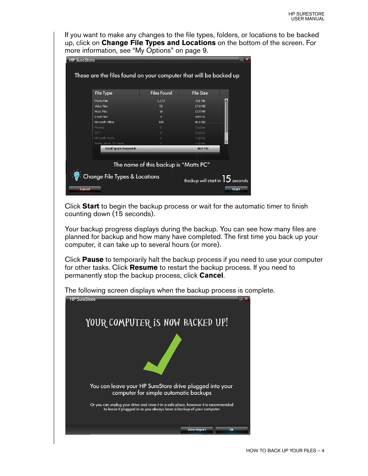If you want to make any changes to the file types, folders, or locations to be backed up, click on **Change File Types and Locations** on the bottom of the screen. For more information, see ["My Options" on page 9](#page-11-0).

| <b>HP SureStore</b>                                                           |                                                                   |                    |                  |              |  |
|-------------------------------------------------------------------------------|-------------------------------------------------------------------|--------------------|------------------|--------------|--|
|                                                                               |                                                                   |                    |                  |              |  |
|                                                                               |                                                                   |                    |                  |              |  |
|                                                                               | These are the files found on your computer that will be backed up |                    |                  |              |  |
|                                                                               |                                                                   |                    |                  |              |  |
|                                                                               | <b>File Type</b>                                                  | <b>Files Found</b> | <b>File Size</b> |              |  |
|                                                                               |                                                                   |                    |                  |              |  |
|                                                                               | Photo Files                                                       | 1,173              | 331 MB           |              |  |
|                                                                               | Video Files                                                       | 53                 | 17.0 MB          |              |  |
|                                                                               | Music Files                                                       | 16                 | 13.9 MB          |              |  |
|                                                                               | <b>E-mail Files</b>                                               | $\overline{4}$     | 649 KB           |              |  |
|                                                                               | Microsoft Office                                                  | 188                | 40.6 MB          |              |  |
|                                                                               | Finance                                                           | $\cap$             | 0 bytes          |              |  |
|                                                                               | ACT!                                                              | $\Box$             | 0 bytes          |              |  |
|                                                                               | Microsoft Works                                                   | $\Box$             | 0 bytes          |              |  |
|                                                                               | Media Center TV Show                                              | $\cap$             | n hytes          |              |  |
|                                                                               | <b>Total Space Required:</b>                                      |                    | 404 MB           |              |  |
|                                                                               |                                                                   |                    |                  |              |  |
| The name of this backup is "Matts PC"                                         |                                                                   |                    |                  |              |  |
|                                                                               |                                                                   |                    |                  |              |  |
| <b>Change File Types &amp; Locations</b><br>Backup will start in $15$ seconds |                                                                   |                    |                  |              |  |
| Cancel                                                                        |                                                                   |                    |                  | <b>Start</b> |  |

Click **Start** to begin the backup process or wait for the automatic timer to finish counting down (15 seconds).

Your backup progress displays during the backup. You can see how many files are planned for backup and how many have completed. The first time you back up your computer, it can take up to several hours (or more).

Click **Pause** to temporarily halt the backup process if you need to use your computer for other tasks. Click **Resume** to restart the backup process. If you need to permanently stop the backup process, click **Cancel**.

The following screen displays when the backup process is complete.

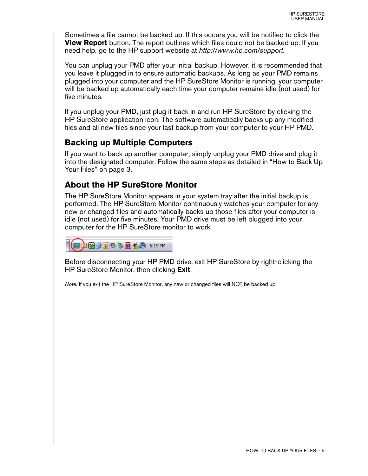Sometimes a file cannot be backed up. If this occurs you will be notified to click the **View Report** button. The report outlines which files could not be backed up. If you need help, go to the HP support website at *http://www.hp.com/support*.

You can unplug your PMD after your initial backup. However, it is recommended that you leave it plugged in to ensure automatic backups. As long as your PMD remains plugged into your computer and the HP SureStore Monitor is running, your computer will be backed up automatically each time your computer remains idle (not used) for five minutes.

If you unplug your PMD, just plug it back in and run HP SureStore by clicking the HP SureStore application icon. The software automatically backs up any modified files and all new files since your last backup from your computer to your HP PMD.

#### **Backing up Multiple Computers**

If you want to back up another computer, simply unplug your PMD drive and plug it into the designated computer. Follow the same steps as detailed in ["How to Back Up](#page-5-0)  [Your Files" on page 3](#page-5-0).

## **About the HP SureStore Monitor**

The HP SureStore Monitor appears in your system tray after the initial backup is performed. The HP SureStore Monitor continuously watches your computer for any new or changed files and automatically backs up those files after your computer is idle (not used) for five minutes. Your PMD drive must be left plugged into your computer for the HP SureStore monitor to work.



Before disconnecting your HP PMD drive, exit HP SureStore by right-clicking the HP SureStore Monitor, then clicking **Exit**.

*Note:* If you exit the HP SureStore Monitor, any new or changed files will NOT be backed up.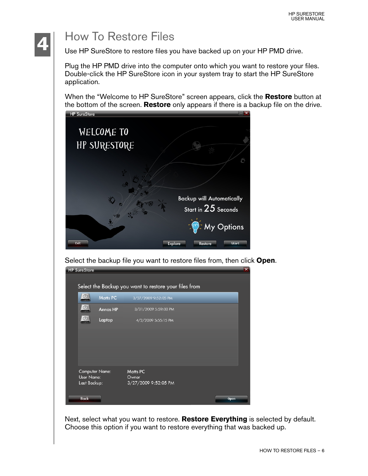# **4**

**HP SureStore** 

# How To Restore Files

Use HP SureStore to restore files you have backed up on your HP PMD drive.

Plug the HP PMD drive into the computer onto which you want to restore your files. Double-click the HP SureStore icon in your system tray to start the HP SureStore application.

When the "Welcome to HP SureStore" screen appears, click the **Restore** button at the bottom of the screen. **Restore** only appears if there is a backup file on the drive.



Select the backup file you want to restore files from, then click **Open**.

|                                              |                 | Select the Backup you want to restore your files from |      |
|----------------------------------------------|-----------------|-------------------------------------------------------|------|
| $\circledD$                                  | <b>Matts PC</b> | 3/27/2009 9:52:05 PM                                  |      |
| $\sigma$                                     | <b>Annas HP</b> | 3/31/2009 5:59:03 PM                                  |      |
|                                              | Laptop          | 4/2/2009 5:55:15 PM                                   |      |
|                                              |                 |                                                       |      |
|                                              |                 |                                                       |      |
|                                              |                 |                                                       |      |
| Computer Name:<br>User Name:<br>Last Backup: |                 | Matts PC<br>Owner<br>3/27/2009 9:52:05 PM             |      |
| <b>Back</b>                                  |                 |                                                       | Open |

Next, select what you want to restore. **Restore Everything** is selected by default. Choose this option if you want to restore everything that was backed up.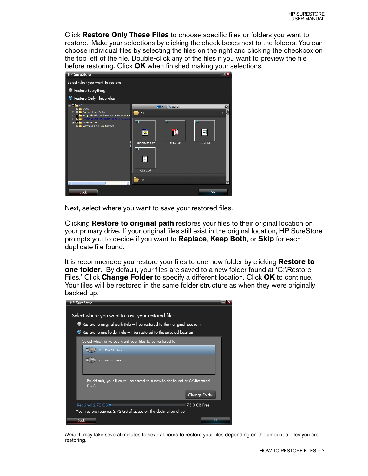Click **Restore Only These Files** to choose specific files or folders you want to restore. Make your selections by clicking the check boxes next to the folders. You can choose individual files by selecting the files on the right and clicking the checkbox on the top left of the file. Double-click any of the files if you want to preview the file before restoring. Click **OK** when finished making your selections.



Next, select where you want to save your restored files.

Clicking **Restore to original path** restores your files to their original location on your primary drive. If your original files still exist in the original location, HP SureStore prompts you to decide if you want to **Replace**, **Keep Both**, or **Skip** for each duplicate file found.

It is recommended you restore your files to one new folder by clicking **Restore to one folder**. By default, your files are saved to a new folder found at 'C:\Restore Files.' Click **Change Folder** to specify a different location. Click **OK** to continue. Your files will be restored in the same folder structure as when they were originally backed up.



*Note:* It may take several minutes to several hours to restore your files depending on the amount of files you are restoring.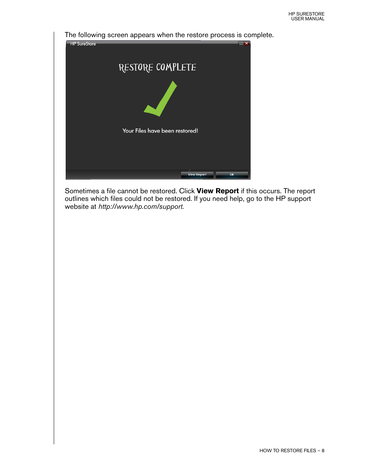The following screen appears when the restore process is complete. HP SureStore RESTORE COMPLETE Your Files have been restored! View Report  $\overline{\mathbf{a}}$ 

Sometimes a file cannot be restored. Click **View Report** if this occurs. The report outlines which files could not be restored. If you need help, go to the HP support website at *http://www.hp.com/support.*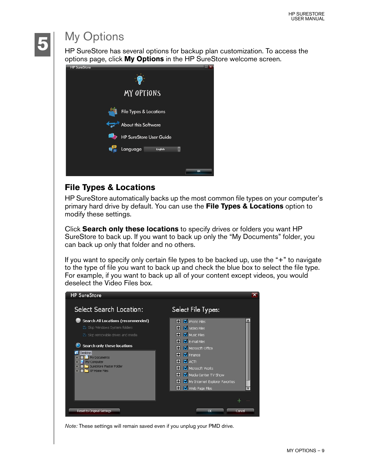

# <span id="page-11-0"></span>My Options

HP SureStore has several options for backup plan customization. To access the options page, click **My Options** in the HP SureStore welcome screen.



# **File Types & Locations**

HP SureStore automatically backs up the most common file types on your computer's primary hard drive by default. You can use the **File Types & Locations** option to modify these settings.

Click **Search only these locations** to specify drives or folders you want HP SureStore to back up. If you want to back up only the "My Documents" folder, you can back up only that folder and no others.

If you want to specify only certain file types to be backed up, use the "+" to navigate to the type of file you want to back up and check the blue box to select the file type. For example, if you want to back up all of your content except videos, you would deselect the Video Files box.



*Note:* These settings will remain saved even if you unplug your PMD drive.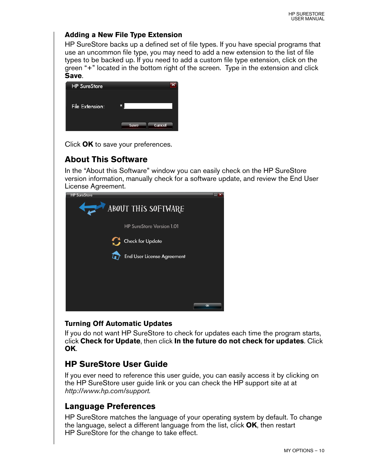#### **Adding a New File Type Extension**

HP SureStore backs up a defined set of file types. If you have special programs that use an uncommon file type, you may need to add a new extension to the list of file types to be backed up. If you need to add a custom file type extension, click on the green "+" located in the bottom right of the screen. Type in the extension and click **Save**.

| <b>HP</b> SureStore |                |
|---------------------|----------------|
|                     |                |
| File Extension:     | $\ast$         |
|                     |                |
|                     |                |
|                     | Cancel<br>Save |

Click **OK** to save your preferences.

## **About This Software**

In the "About this Software" window you can easily check on the HP SureStore version information, manually check for a software update, and review the End User License Agreement.

| <b>HP SureStore</b>                    | $\overline{\mathbf{x}}$ |
|----------------------------------------|-------------------------|
| ABOUT THIS SOFTWARE                    |                         |
| <b>HP SureStore Version 1.01</b>       |                         |
| <b>Check for Update</b>                |                         |
| <b>End User License Agreement</b><br>G |                         |
|                                        |                         |
|                                        |                         |
|                                        | OK                      |

#### <span id="page-12-0"></span>**Turning Off Automatic Updates**

If you do not want HP SureStore to check for updates each time the program starts, click **Check for Update**, then click **In the future do not check for updates**. Click **OK**.

## **HP SureStore User Guide**

If you ever need to reference this user guide, you can easily access it by clicking on the HP SureStore user guide link or you can check the HP support site at at *http://www.hp.com/support.*

#### **Language Preferences**

HP SureStore matches the language of your operating system by default. To change the language, select a different language from the list, click **OK**, then restart HP SureStore for the change to take effect.